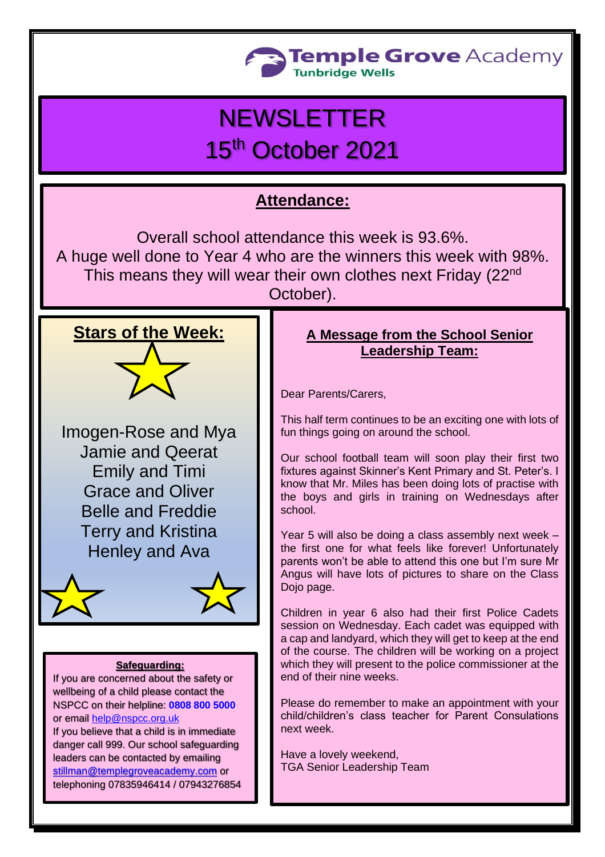

# **NEWSLETTER** 15<sup>th</sup> October 2021

## **Attendance:**

Overall school attendance this week is 93.6%. A huge well done to Year 4 who are the winners this week with 98%. This means they will wear their own clothes next Friday (22<sup>nd</sup> October).

#### **Stars of the Week:**

Imogen-Rose and Mya Jamie and Qeerat Emily and Timi Grace and Oliver Belle and Freddie Terry and Kristina Henley and Ava



#### **Safeguarding:**

If you are concerned about the safety or wellbeing of a child please contact the NSPCC on their helpline: **[0808 800 5000](tel:08088005000)** or email [help@nspcc.org.uk](mailto:help@nspcc.org.uk)

If you believe that a child is in immediate danger call 999. Our school safeguarding leaders can be contacted by emailing [stillman@templegroveacademy.com](mailto:stillman@templegroveacademy.com) or telephoning 07835946414 / 07943276854

#### **A Message from the School Senior Leadership Team:**

Dear Parents/Carers,

This half term continues to be an exciting one with lots of fun things going on around the school.

Our school football team will soon play their first two fixtures against Skinner's Kent Primary and St. Peter's. I know that Mr. Miles has been doing lots of practise with the boys and girls in training on Wednesdays after school.

Year 5 will also be doing a class assembly next week the first one for what feels like forever! Unfortunately parents won't be able to attend this one but I'm sure Mr Angus will have lots of pictures to share on the Class Dojo page.

Children in year 6 also had their first Police Cadets session on Wednesday. Each cadet was equipped with a cap and landyard, which they will get to keep at the end of the course. The children will be working on a project which they will present to the police commissioner at the end of their nine weeks.

Please do remember to make an appointment with your child/children's class teacher for Parent Consulations next week.

Have a lovely weekend, TGA Senior Leadership Team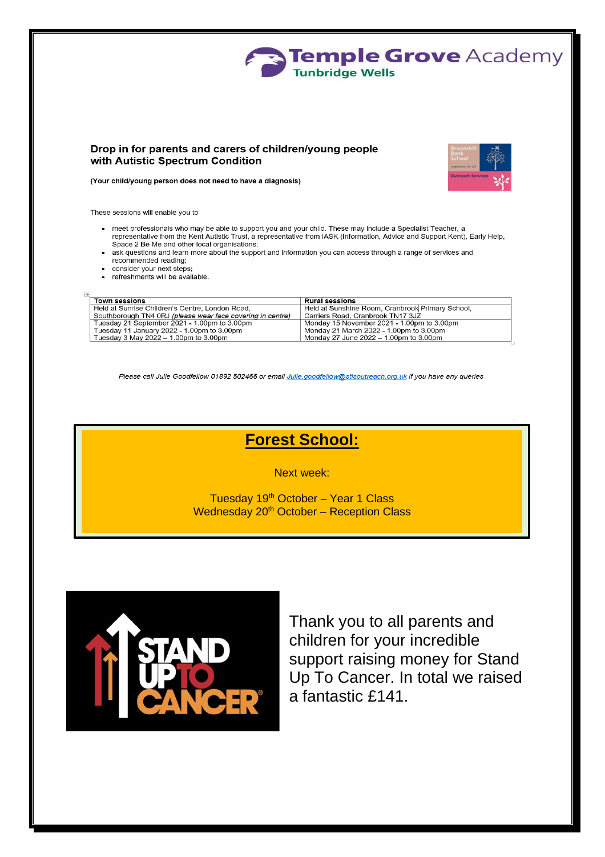

#### Drop in for parents and carers of children/young people with Autistic Spectrum Condition



(Your child/young person does not need to have a diagnosis)

These sessions will enable you to

- meet professionals who may be able to support you and your child. These may include a Specialist Teacher, a representative from the Kent Autistic Trust, a representative from IASK (Information, Advice and Support Kent), Early Help, Space 2 Be Me and other local organisations;
- ask questions and learn more about the support and information you can access through a range of services and recommended reading;
- consider your next steps;
- refreshments will be available

| <b>Town sessions</b>                                       | <b>Rural sessions</b>                            |
|------------------------------------------------------------|--------------------------------------------------|
| Held at Sunrise Children's Centre, London Road.            | Held at Sunshine Room, Cranbrook Primary School, |
| Southborough TN4 0RJ (please wear face covering in centre) | Carriers Road, Cranbrook TN17 3JZ                |
| Tuesday 21 September 2021 - 1.00pm to 3.00pm               | Monday 15 November 2021 - 1.00pm to 3.00pm       |
| Tuesday 11 January 2022 - 1.00pm to 3.00pm                 | Monday 21 March 2022 - 1.00pm to 3.00pm          |
| Tuesday 3 May 2022 $-$ 1.00pm to 3.00pm                    | Monday 27 June 2022 – 1.00pm to 3.00pm           |

Please call Julie Goodfellow 01892 502466 or email Julie.goodfellow@stlsoutreach.org.uk if you have any queries

### **Forest School:**

Next week:

Tuesday 19<sup>th</sup> October - Year 1 Class Wednesday 20<sup>th</sup> October – Reception Class



Thank you to all parents and children for your incredible support raising money for Stand Up To Cancer. In total we raised a fantastic £141.